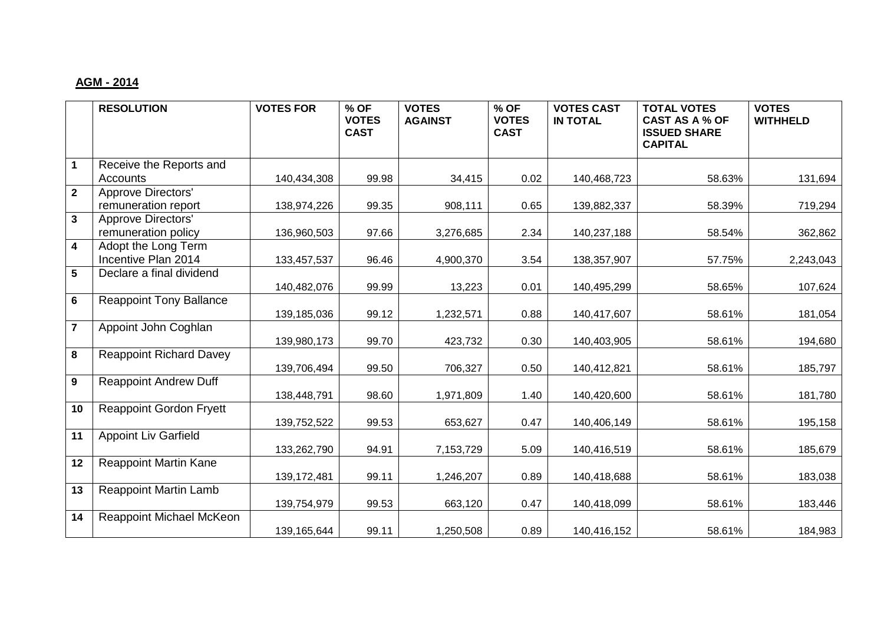## **AGM - 2014**

|                         | <b>RESOLUTION</b>              | <b>VOTES FOR</b> | % OF<br><b>VOTES</b><br><b>CAST</b> | <b>VOTES</b><br><b>AGAINST</b> | % OF<br><b>VOTES</b><br><b>CAST</b> | <b>VOTES CAST</b><br><b>IN TOTAL</b> | <b>TOTAL VOTES</b><br><b>CAST AS A % OF</b><br><b>ISSUED SHARE</b><br><b>CAPITAL</b> | <b>VOTES</b><br><b>WITHHELD</b> |
|-------------------------|--------------------------------|------------------|-------------------------------------|--------------------------------|-------------------------------------|--------------------------------------|--------------------------------------------------------------------------------------|---------------------------------|
| 1                       | Receive the Reports and        |                  |                                     |                                |                                     |                                      |                                                                                      |                                 |
|                         | Accounts                       | 140,434,308      | 99.98                               | 34,415                         | 0.02                                | 140,468,723                          | 58.63%                                                                               | 131,694                         |
| $\overline{2}$          | Approve Directors'             |                  |                                     |                                |                                     |                                      |                                                                                      |                                 |
|                         | remuneration report            | 138,974,226      | 99.35                               | 908,111                        | 0.65                                | 139,882,337                          | 58.39%                                                                               | 719,294                         |
| 3 <sup>1</sup>          | <b>Approve Directors'</b>      |                  |                                     |                                |                                     |                                      |                                                                                      |                                 |
|                         | remuneration policy            | 136,960,503      | 97.66                               | 3,276,685                      | 2.34                                | 140,237,188                          | 58.54%                                                                               | 362,862                         |
| $\overline{\mathbf{4}}$ | Adopt the Long Term            |                  |                                     |                                |                                     |                                      |                                                                                      |                                 |
|                         | Incentive Plan 2014            | 133,457,537      | 96.46                               | 4,900,370                      | 3.54                                | 138, 357, 907                        | 57.75%                                                                               | 2,243,043                       |
| 5                       | Declare a final dividend       |                  |                                     |                                |                                     |                                      |                                                                                      |                                 |
|                         |                                | 140,482,076      | 99.99                               | 13,223                         | 0.01                                | 140,495,299                          | 58.65%                                                                               | 107,624                         |
| 6                       | <b>Reappoint Tony Ballance</b> |                  |                                     |                                |                                     |                                      |                                                                                      |                                 |
|                         |                                | 139,185,036      | 99.12                               | 1,232,571                      | 0.88                                | 140,417,607                          | 58.61%                                                                               | 181,054                         |
| $\overline{7}$          | Appoint John Coghlan           | 139,980,173      | 99.70                               | 423,732                        | 0.30                                | 140,403,905                          | 58.61%                                                                               | 194,680                         |
| 8                       | <b>Reappoint Richard Davey</b> |                  |                                     |                                |                                     |                                      |                                                                                      |                                 |
|                         |                                | 139,706,494      | 99.50                               | 706,327                        | 0.50                                | 140,412,821                          | 58.61%                                                                               | 185,797                         |
| 9                       | <b>Reappoint Andrew Duff</b>   |                  |                                     |                                |                                     |                                      |                                                                                      |                                 |
|                         |                                | 138,448,791      | 98.60                               | 1,971,809                      | 1.40                                | 140,420,600                          | 58.61%                                                                               | 181,780                         |
| 10                      | <b>Reappoint Gordon Fryett</b> |                  |                                     |                                |                                     |                                      |                                                                                      |                                 |
|                         |                                | 139,752,522      | 99.53                               | 653,627                        | 0.47                                | 140,406,149                          | 58.61%                                                                               | 195,158                         |
| 11                      | <b>Appoint Liv Garfield</b>    |                  |                                     |                                |                                     |                                      |                                                                                      |                                 |
|                         |                                | 133,262,790      | 94.91                               | 7,153,729                      | 5.09                                | 140,416,519                          | 58.61%                                                                               | 185,679                         |
| 12                      | <b>Reappoint Martin Kane</b>   |                  |                                     |                                |                                     |                                      |                                                                                      |                                 |
|                         |                                | 139, 172, 481    | 99.11                               | 1,246,207                      | 0.89                                | 140,418,688                          | 58.61%                                                                               | 183,038                         |
| 13                      | <b>Reappoint Martin Lamb</b>   |                  |                                     |                                |                                     |                                      |                                                                                      |                                 |
|                         |                                | 139,754,979      | 99.53                               | 663,120                        | 0.47                                | 140,418,099                          | 58.61%                                                                               | 183,446                         |
| 14                      | Reappoint Michael McKeon       |                  |                                     |                                |                                     |                                      |                                                                                      |                                 |
|                         |                                | 139, 165, 644    | 99.11                               | 1,250,508                      | 0.89                                | 140,416,152                          | 58.61%                                                                               | 184,983                         |